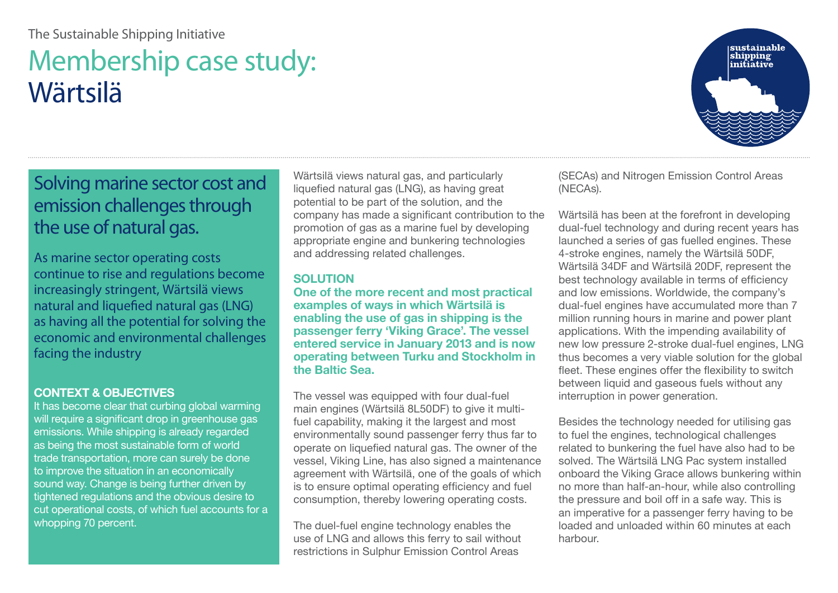# The Sustainable Shipping Initiative

# Membership case study: Wärtsilä



# Solving marine sector cost and emission challenges through the use of natural gas.

As marine sector operating costs continue to rise and regulations become increasingly stringent, Wärtsilä views natural and liquefied natural gas (LNG) as having all the potential for solving the economic and environmental challenges facing the industry

#### **CONTEXT & OBJECTIVES**

It has become clear that curbing global warming will require a significant drop in greenhouse gas emissions. While shipping is already regarded as being the most sustainable form of world trade transportation, more can surely be done to improve the situation in an economically sound way. Change is being further driven by tightened regulations and the obvious desire to cut operational costs, of which fuel accounts for a whopping 70 percent.

Wärtsilä views natural gas, and particularly liquefied natural gas (LNG), as having great potential to be part of the solution, and the company has made a significant contribution to the promotion of gas as a marine fuel by developing appropriate engine and bunkering technologies and addressing related challenges.

### **SOLUTION**

**One of the more recent and most practical examples of ways in which Wärtsilä is enabling the use of gas in shipping is the passenger ferry 'Viking Grace'. The vessel entered service in January 2013 and is now operating between Turku and Stockholm in the Baltic Sea.**

The vessel was equipped with four dual-fuel main engines (Wärtsilä 8L50DF) to give it multifuel capability, making it the largest and most environmentally sound passenger ferry thus far to operate on liquefied natural gas. The owner of the vessel, Viking Line, has also signed a maintenance agreement with Wärtsilä, one of the goals of which is to ensure optimal operating efficiency and fuel consumption, thereby lowering operating costs.

The duel-fuel engine technology enables the use of LNG and allows this ferry to sail without restrictions in Sulphur Emission Control Areas

(SECAs) and Nitrogen Emission Control Areas (NECAs).

Wärtsilä has been at the forefront in developing dual-fuel technology and during recent years has launched a series of gas fuelled engines. These 4-stroke engines, namely the Wärtsilä 50DF, Wärtsilä 34DF and Wärtsilä 20DF, represent the best technology available in terms of efficiency and low emissions. Worldwide, the company's dual-fuel engines have accumulated more than 7 million running hours in marine and power plant applications. With the impending availability of new low pressure 2-stroke dual-fuel engines, LNG thus becomes a very viable solution for the global fleet. These engines offer the flexibility to switch between liquid and gaseous fuels without any interruption in power generation.

Besides the technology needed for utilising gas to fuel the engines, technological challenges related to bunkering the fuel have also had to be solved. The Wärtsilä LNG Pac system installed onboard the Viking Grace allows bunkering within no more than half-an-hour, while also controlling the pressure and boil off in a safe way. This is an imperative for a passenger ferry having to be loaded and unloaded within 60 minutes at each harbour.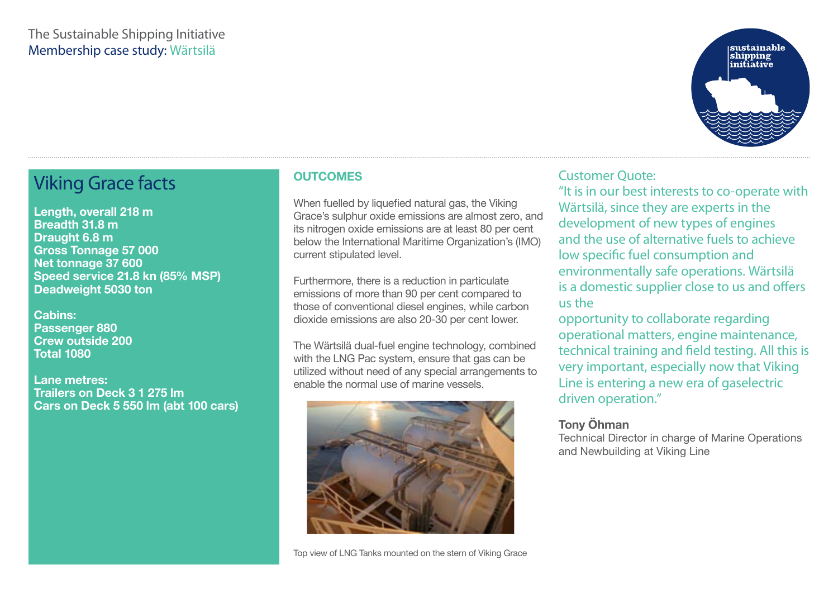### The Sustainable Shipping Initiative Membership case study: Wärtsilä



# Viking Grace facts

**Length, overall 218 m Breadth 31.8 m Draught 6.8 m Gross Tonnage 57 000 Net tonnage 37 600 Speed service 21.8 kn (85% MSP) Deadweight 5030 ton** 

**Cabins: Passenger 880 Crew outside 200 Total 1080**

**Lane metres: Trailers on Deck 3 1 275 lm Cars on Deck 5 550 lm (abt 100 cars)** 

### **OUTCOMES**

When fuelled by liquefied natural gas, the Viking Grace's sulphur oxide emissions are almost zero, and its nitrogen oxide emissions are at least 80 per cent below the International Maritime Organization's (IMO) current stipulated level.

Furthermore, there is a reduction in particulate emissions of more than 90 per cent compared to those of conventional diesel engines, while carbon dioxide emissions are also 20-30 per cent lower.

The Wärtsilä dual-fuel engine technology, combined with the LNG Pac system, ensure that gas can be utilized without need of any special arrangements to enable the normal use of marine vessels.



# Customer Quote:

"It is in our best interests to co-operate with Wärtsilä, since they are experts in the development of new types of engines and the use of alternative fuels to achieve low specific fuel consumption and environmentally safe operations. Wärtsilä is a domestic supplier close to us and offers us the

opportunity to collaborate regarding operational matters, engine maintenance, technical training and field testing. All this is very important, especially now that Viking Line is entering a new era of gaselectric driven operation."

#### **Tony Öhman**

Technical Director in charge of Marine Operations and Newbuilding at Viking Line